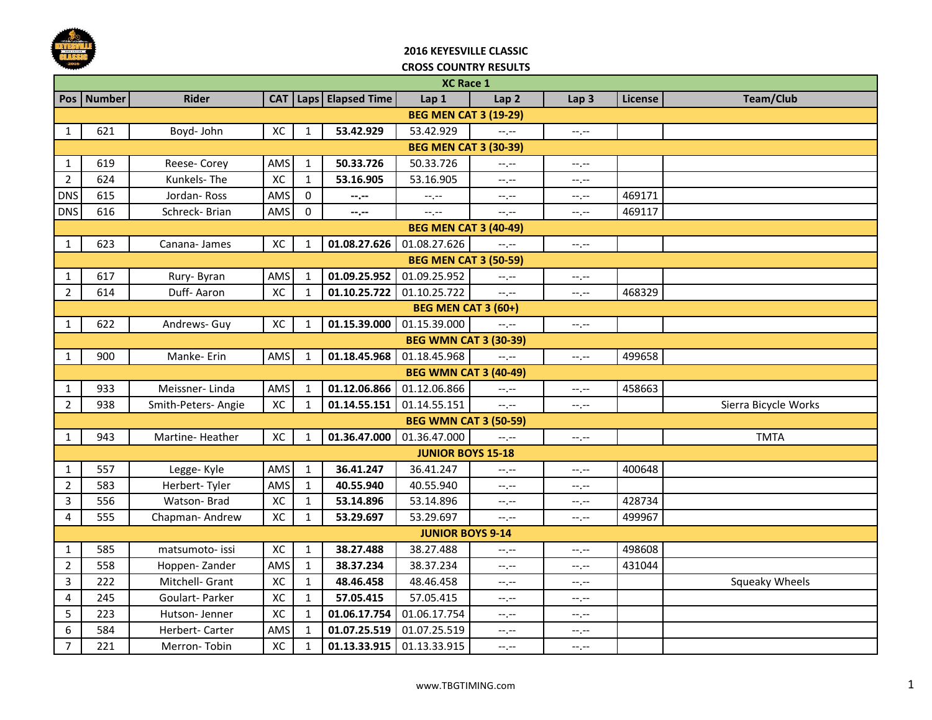

### **2016 KEYESVILLE CLASSIC CROSS COUNTRY RESULTS**

|                              | <b>XC Race 1</b>             |                     |     |              |                           |                              |                  |                  |         |                      |  |  |
|------------------------------|------------------------------|---------------------|-----|--------------|---------------------------|------------------------------|------------------|------------------|---------|----------------------|--|--|
|                              | Pos Number                   | <b>Rider</b>        |     |              | CAT   Laps   Elapsed Time | Lap 1                        | Lap <sub>2</sub> | Lap <sub>3</sub> | License | Team/Club            |  |  |
| <b>BEG MEN CAT 3 (19-29)</b> |                              |                     |     |              |                           |                              |                  |                  |         |                      |  |  |
| 1                            | 621                          | Boyd- John          | XC  | $\mathbf{1}$ | 53.42.929                 | 53.42.929                    | $-1$ , $-1$      | $-1, -1$         |         |                      |  |  |
|                              |                              |                     |     |              |                           | <b>BEG MEN CAT 3 (30-39)</b> |                  |                  |         |                      |  |  |
| 1                            | 619                          | Reese- Corey        | AMS | $\mathbf{1}$ | 50.33.726                 | 50.33.726                    | $-1, -1$         | $-1, -1$         |         |                      |  |  |
| $\overline{2}$               | 624                          | Kunkels-The         | XC  | $\mathbf{1}$ | 53.16.905                 | 53.16.905                    | $-1, -1$         | $-1, -1$         |         |                      |  |  |
| <b>DNS</b>                   | 615                          | Jordan-Ross         | AMS | $\mathbf 0$  | --.--                     | --.--                        | $-1, -1$         | --.--            | 469171  |                      |  |  |
| <b>DNS</b>                   | 616                          | Schreck-Brian       | AMS | $\mathbf{0}$ | $-1 - 1 - 1 = 0$          | --.--                        | $-1, -1$         | $-1, -1$         | 469117  |                      |  |  |
|                              | <b>BEG MEN CAT 3 (40-49)</b> |                     |     |              |                           |                              |                  |                  |         |                      |  |  |
| 1                            | 623                          | Canana- James       | XC  | 1            | 01.08.27.626              | 01.08.27.626                 | $-1$             | $-1, -1$         |         |                      |  |  |
|                              | <b>BEG MEN CAT 3 (50-59)</b> |                     |     |              |                           |                              |                  |                  |         |                      |  |  |
| 1                            | 617                          | Rury-Byran          | AMS | $\mathbf{1}$ | 01.09.25.952              | 01.09.25.952                 | $-1, -1$         | $-1, -1$         |         |                      |  |  |
| $\overline{2}$               | 614                          | Duff-Aaron          | XC  | $\mathbf{1}$ | 01.10.25.722              | 01.10.25.722                 | $-1$ , $-1$      | $-1, -1$         | 468329  |                      |  |  |
|                              |                              |                     |     |              |                           | <b>BEG MEN CAT 3 (60+)</b>   |                  |                  |         |                      |  |  |
| $\mathbf{1}$                 | 622                          | Andrews- Guy        | XC  | $\mathbf{1}$ | 01.15.39.000              | 01.15.39.000                 | $-1, -1$         | $-1, -1$         |         |                      |  |  |
|                              | <b>BEG WMN CAT 3 (30-39)</b> |                     |     |              |                           |                              |                  |                  |         |                      |  |  |
| 1                            | 900                          | Manke-Erin          | AMS | 1            | 01.18.45.968              | 01.18.45.968                 | $-1, -1$         | $-1, -1$         | 499658  |                      |  |  |
|                              | <b>BEG WMN CAT 3 (40-49)</b> |                     |     |              |                           |                              |                  |                  |         |                      |  |  |
| $\mathbf{1}$                 | 933                          | Meissner-Linda      | AMS | 1            | 01.12.06.866              | 01.12.06.866                 | $-1$             | $-1, -1$         | 458663  |                      |  |  |
| $\overline{2}$               | 938                          | Smith-Peters- Angie | XC  | $\mathbf{1}$ | 01.14.55.151              | 01.14.55.151                 | $-1 - 1 - 1 = 0$ | $-1, -1$         |         | Sierra Bicycle Works |  |  |
|                              |                              |                     |     |              |                           | <b>BEG WMN CAT 3 (50-59)</b> |                  |                  |         |                      |  |  |
| 1                            | 943                          | Martine-Heather     | XC  | $\mathbf{1}$ | 01.36.47.000              | 01.36.47.000                 | $-1$ , $-1$      | $-1, -1$         |         | <b>TMTA</b>          |  |  |
|                              |                              |                     |     |              |                           | <b>JUNIOR BOYS 15-18</b>     |                  |                  |         |                      |  |  |
| 1                            | 557                          | Legge-Kyle          | AMS | $\mathbf{1}$ | 36.41.247                 | 36.41.247                    | $-1, -1$         | $-1, -1$         | 400648  |                      |  |  |
| $\overline{2}$               | 583                          | Herbert-Tyler       | AMS | $\mathbf{1}$ | 40.55.940                 | 40.55.940                    | $-1, -1$         | $-1, -1$         |         |                      |  |  |
| 3                            | 556                          | Watson-Brad         | XC  | $\mathbf{1}$ | 53.14.896                 | 53.14.896                    | $-1, -1$         | $-1, -1$         | 428734  |                      |  |  |
| 4                            | 555                          | Chapman-Andrew      | XC  | 1            | 53.29.697                 | 53.29.697                    | $-1, -1$         | $-1, -1$         | 499967  |                      |  |  |
|                              | <b>JUNIOR BOYS 9-14</b>      |                     |     |              |                           |                              |                  |                  |         |                      |  |  |
| $\mathbf{1}$                 | 585                          | matsumoto- issi     | XC  | $\mathbf{1}$ | 38.27.488                 | 38.27.488                    | $-1$             | $-1, -1$         | 498608  |                      |  |  |
| $\overline{2}$               | 558                          | Hoppen-Zander       | AMS | $\mathbf{1}$ | 38.37.234                 | 38.37.234                    | $-1$             | $-1, -1$         | 431044  |                      |  |  |
| 3                            | 222                          | Mitchell- Grant     | XC  | $\mathbf{1}$ | 48.46.458                 | 48.46.458                    | $-1, -1$         | $-1, -1$         |         | Squeaky Wheels       |  |  |
| 4                            | 245                          | Goulart- Parker     | XC  | $\mathbf{1}$ | 57.05.415                 | 57.05.415                    | $-1, -1$         | $-1, -1$         |         |                      |  |  |
| 5                            | 223                          | Hutson- Jenner      | XC  | $\mathbf{1}$ | 01.06.17.754              | 01.06.17.754                 | $-1, -1$         | --.--            |         |                      |  |  |
| 6                            | 584                          | Herbert- Carter     | AMS | $\mathbf{1}$ | 01.07.25.519              | 01.07.25.519                 | $-1, -1$         | --.--            |         |                      |  |  |
| $\overline{7}$               | 221                          | Merron-Tobin        | XC  | $\mathbf{1}$ | 01.13.33.915              | 01.13.33.915                 | $-1$ , $-1$      | $-1, -1$         |         |                      |  |  |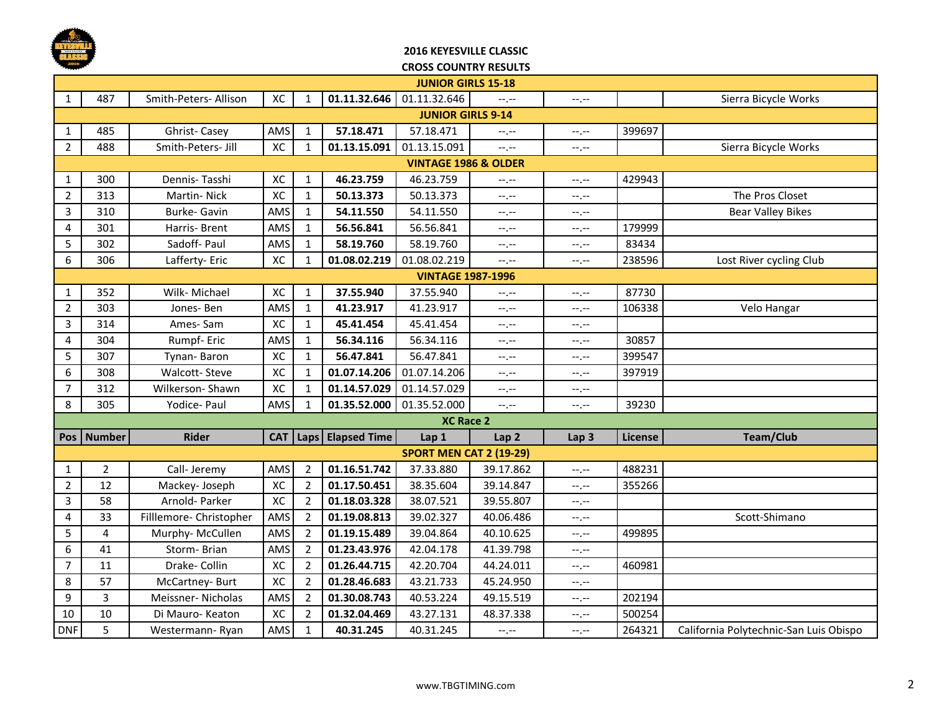

### **2016 KEYESVILLE CLASSIC CROSS COUNTRY RESULTS**

|                | <b>JUNIOR GIRLS 15-18</b>       |                         |     |                |                           |                                |                  |                               |         |                                        |  |  |  |
|----------------|---------------------------------|-------------------------|-----|----------------|---------------------------|--------------------------------|------------------|-------------------------------|---------|----------------------------------------|--|--|--|
| $\mathbf{1}$   | 487                             | Smith-Peters- Allison   | XC  | $\mathbf{1}$   | 01.11.32.646              | 01.11.32.646                   | $-1$             | $-1, -1$                      |         | Sierra Bicycle Works                   |  |  |  |
|                | <b>JUNIOR GIRLS 9-14</b>        |                         |     |                |                           |                                |                  |                               |         |                                        |  |  |  |
| 1              | 485                             | Ghrist-Casey            | AMS | $\mathbf{1}$   | 57.18.471                 | 57.18.471                      | $-1$ , $-1$      | $-1, -1$                      | 399697  |                                        |  |  |  |
| $\overline{2}$ | 488                             | Smith-Peters- Jill      | XC  | $\mathbf{1}$   | 01.13.15.091              | 01.13.15.091                   | --,--            | $-1, -1$                      |         | Sierra Bicycle Works                   |  |  |  |
|                | <b>VINTAGE 1986 &amp; OLDER</b> |                         |     |                |                           |                                |                  |                               |         |                                        |  |  |  |
| 1              | 300                             | Dennis-Tasshi           | XC  | $\mathbf{1}$   | 46.23.759                 | 46.23.759                      | --.--            | $\leftarrow$ , $\leftarrow$   | 429943  |                                        |  |  |  |
| $\overline{2}$ | 313                             | Martin-Nick             | XC  | $\mathbf{1}$   | 50.13.373                 | 50.13.373                      | --,--            | $-1, -1$                      |         | The Pros Closet                        |  |  |  |
| 3              | 310                             | Burke- Gavin            | AMS | $\mathbf{1}$   | 54.11.550                 | 54.11.550                      | $-1$ , $-1$      | $\leftarrow$ , $\leftarrow$   |         | <b>Bear Valley Bikes</b>               |  |  |  |
| 4              | 301                             | Harris-Brent            | AMS | $\mathbf{1}$   | 56.56.841                 | 56.56.841                      | --,--            | $-1$ , $-1$                   | 179999  |                                        |  |  |  |
| 5              | 302                             | Sadoff- Paul            | AMS | $\mathbf{1}$   | 58.19.760                 | 58.19.760                      | --.--            | $-1, -1$                      | 83434   |                                        |  |  |  |
| 6              | 306                             | Lafferty- Eric          | XC  | $\mathbf{1}$   | 01.08.02.219              | 01.08.02.219                   | $-1$ .           | $-1, -1$                      | 238596  | Lost River cycling Club                |  |  |  |
|                | <b>VINTAGE 1987-1996</b>        |                         |     |                |                           |                                |                  |                               |         |                                        |  |  |  |
| 1              | 352                             | Wilk- Michael           | XC  | $\mathbf{1}$   | 37.55.940                 | 37.55.940                      | --.--            | $-1, -1$                      | 87730   |                                        |  |  |  |
| $\overline{2}$ | 303                             | Jones-Ben               | AMS | 1              | 41.23.917                 | 41.23.917                      | --.--            | $\leftarrow$ , $\leftarrow$   | 106338  | Velo Hangar                            |  |  |  |
| 3              | 314                             | Ames-Sam                | XC  | $\mathbf{1}$   | 45.41.454                 | 45.41.454                      | --,--            | $-1, -1$                      |         |                                        |  |  |  |
| 4              | 304                             | Rumpf-Eric              | AMS | $\mathbf{1}$   | 56.34.116                 | 56.34.116                      | --.--            | $-1, -1$                      | 30857   |                                        |  |  |  |
| 5              | 307                             | Tynan-Baron             | XC  | $\mathbf{1}$   | 56.47.841                 | 56.47.841                      | --,--            | --,--                         | 399547  |                                        |  |  |  |
| 6              | 308                             | Walcott-Steve           | XC  | 1              | 01.07.14.206              | 01.07.14.206                   | --.--            | $-1, -1$                      | 397919  |                                        |  |  |  |
| $\overline{7}$ | 312                             | Wilkerson-Shawn         | XC  | $\mathbf{1}$   | 01.14.57.029              | 01.14.57.029                   | $-1 - 1 - 1 = 0$ | $-1, -1$                      |         |                                        |  |  |  |
| 8              | 305                             | Yodice- Paul            | AMS | $\mathbf{1}$   | 01.35.52.000              | 01.35.52.000                   | $-1$ , $-1$      | $\rightarrow$ , $\rightarrow$ | 39230   |                                        |  |  |  |
|                |                                 |                         |     |                |                           | <b>XC Race 2</b>               |                  |                               |         |                                        |  |  |  |
|                | Pos   Number                    | <b>Rider</b>            |     |                | CAT   Laps   Elapsed Time | Lap 1                          | Lap <sub>2</sub> | Lap <sub>3</sub>              | License | Team/Club                              |  |  |  |
|                |                                 |                         |     |                |                           | <b>SPORT MEN CAT 2 (19-29)</b> |                  |                               |         |                                        |  |  |  |
| $\mathbf{1}$   | $\overline{2}$                  | Call- Jeremy            | AMS | $\overline{2}$ | 01.16.51.742              | 37.33.880                      | 39.17.862        | $\leftarrow$ , $\leftarrow$   | 488231  |                                        |  |  |  |
| $\overline{2}$ | 12                              | Mackey-Joseph           | XC  | $\overline{2}$ | 01.17.50.451              | 38.35.604                      | 39.14.847        | $-1$ , $-1$                   | 355266  |                                        |  |  |  |
| $\overline{3}$ | 58                              | Arnold- Parker          | XC  | $\overline{2}$ | 01.18.03.328              | 38.07.521                      | 39.55.807        | $-1, -1$                      |         |                                        |  |  |  |
| 4              | 33                              | Filllemore- Christopher | AMS | $\overline{2}$ | 01.19.08.813              | 39.02.327                      | 40.06.486        | $-1, -1$                      |         | Scott-Shimano                          |  |  |  |
| 5              | 4                               | Murphy- McCullen        | AMS | $\overline{2}$ | 01.19.15.489              | 39.04.864                      | 40.10.625        | $-1$ , $-1$                   | 499895  |                                        |  |  |  |
| 6              | 41                              | Storm-Brian             | AMS | $\overline{2}$ | 01.23.43.976              | 42.04.178                      | 41.39.798        | --,--                         |         |                                        |  |  |  |
| $\overline{7}$ | 11                              | Drake- Collin           | XC  | $\overline{2}$ | 01.26.44.715              | 42.20.704                      | 44.24.011        | $-1, -1$                      | 460981  |                                        |  |  |  |
| 8              | 57                              | McCartney-Burt          | XC  | 2              | 01.28.46.683              | 43.21.733                      | 45.24.950        | $-1, -1$                      |         |                                        |  |  |  |
| 9              | 3                               | Meissner-Nicholas       | AMS | $\overline{2}$ | 01.30.08.743              | 40.53.224                      | 49.15.519        | $\leftarrow$ , $\leftarrow$   | 202194  |                                        |  |  |  |
| 10             | 10                              | Di Mauro- Keaton        | XC  | $\overline{2}$ | 01.32.04.469              | 43.27.131                      | 48.37.338        | $-1, -1$                      | 500254  |                                        |  |  |  |
| <b>DNF</b>     | 5                               | Westermann-Ryan         | AMS | $\mathbf{1}$   | 40.31.245                 | 40.31.245                      | --.--            | $-1, -1$                      | 264321  | California Polytechnic-San Luis Obispo |  |  |  |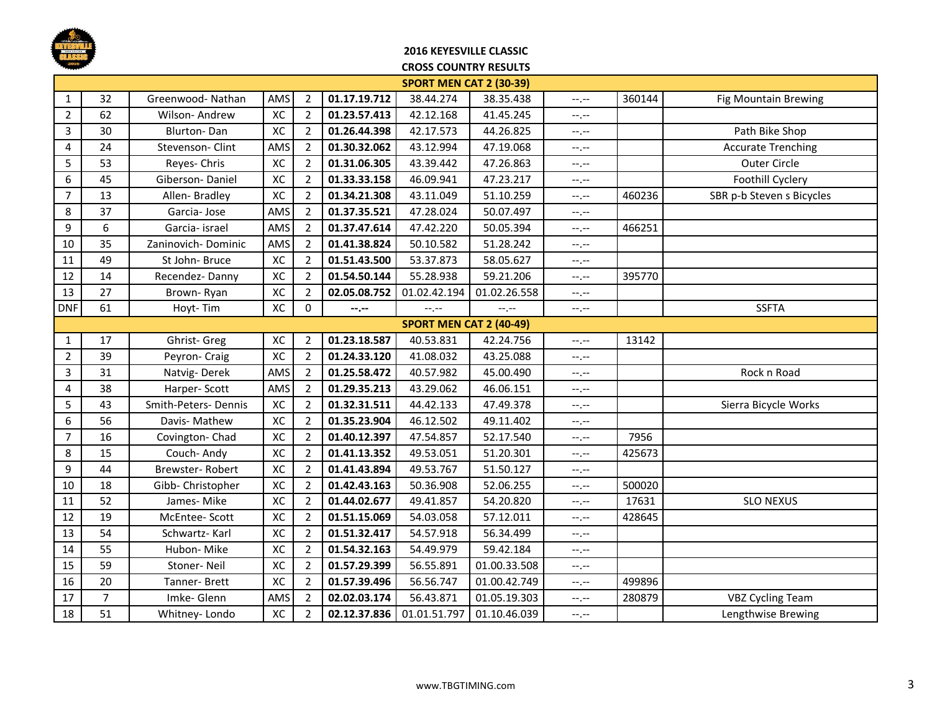

### **2016 KEYESVILLE CLASSIC**

#### **CROSS COUNTRY RESULTS**

|                | <b>SPORT MEN CAT 2 (30-39)</b> |                     |     |                |              |              |              |                               |        |                           |  |  |  |
|----------------|--------------------------------|---------------------|-----|----------------|--------------|--------------|--------------|-------------------------------|--------|---------------------------|--|--|--|
| 1              | 32                             | Greenwood-Nathan    | AMS | $\overline{2}$ | 01.17.19.712 | 38.44.274    | 38.35.438    | $-1, -1$                      | 360144 | Fig Mountain Brewing      |  |  |  |
| $\overline{2}$ | 62                             | Wilson- Andrew      | XC  | $\overline{2}$ | 01.23.57.413 | 42.12.168    | 41.45.245    | $-1, -1$                      |        |                           |  |  |  |
| 3              | 30                             | Blurton-Dan         | XC  | $\overline{2}$ | 01.26.44.398 | 42.17.573    | 44.26.825    | $-1, -1$                      |        | Path Bike Shop            |  |  |  |
| 4              | 24                             | Stevenson- Clint    | AMS | 2              | 01.30.32.062 | 43.12.994    | 47.19.068    | $-1$                          |        | <b>Accurate Trenching</b> |  |  |  |
| 5              | 53                             | Reyes- Chris        | XC  | $\overline{2}$ | 01.31.06.305 | 43.39.442    | 47.26.863    | $-1, -1$                      |        | <b>Outer Circle</b>       |  |  |  |
| 6              | 45                             | Giberson-Daniel     | XC  | $\overline{2}$ | 01.33.33.158 | 46.09.941    | 47.23.217    | $-1, -1$                      |        | Foothill Cyclery          |  |  |  |
| $\overline{7}$ | 13                             | Allen-Bradley       | XC  | $\overline{2}$ | 01.34.21.308 | 43.11.049    | 51.10.259    | $-1, -1$                      | 460236 | SBR p-b Steven s Bicycles |  |  |  |
| 8              | 37                             | Garcia-Jose         | AMS | $\overline{2}$ | 01.37.35.521 | 47.28.024    | 50.07.497    | $-1$                          |        |                           |  |  |  |
| 9              | 6                              | Garcia- israel      | AMS | $\overline{2}$ | 01.37.47.614 | 47.42.220    | 50.05.394    | $-1, -1$                      | 466251 |                           |  |  |  |
| 10             | 35                             | Zaninovich-Dominic  | AMS | $\overline{2}$ | 01.41.38.824 | 50.10.582    | 51.28.242    | $\leftarrow$ , $\leftarrow$   |        |                           |  |  |  |
| 11             | 49                             | St John-Bruce       | XC  | $\overline{2}$ | 01.51.43.500 | 53.37.873    | 58.05.627    | $-1, -1$                      |        |                           |  |  |  |
| 12             | 14                             | Recendez-Danny      | XC  | 2              | 01.54.50.144 | 55.28.938    | 59.21.206    | $-1, -1$                      | 395770 |                           |  |  |  |
| 13             | 27                             | Brown-Ryan          | XC  | $\overline{2}$ | 02.05.08.752 | 01.02.42.194 | 01.02.26.558 | $-1, -1$                      |        |                           |  |  |  |
| <b>DNF</b>     | 61                             | Hoyt-Tim            | XC  | $\mathbf 0$    | $- - - - -$  | $-1, -1$     | $-1, -1$     | $-1, -1$                      |        | <b>SSFTA</b>              |  |  |  |
|                | <b>SPORT MEN CAT 2 (40-49)</b> |                     |     |                |              |              |              |                               |        |                           |  |  |  |
| $\mathbf{1}$   | 17                             | Ghrist- Greg        | XC  | $\overline{2}$ | 01.23.18.587 | 40.53.831    | 42.24.756    | $-1, -1$                      | 13142  |                           |  |  |  |
| $\overline{2}$ | 39                             | Peyron- Craig       | XC  | $\overline{2}$ | 01.24.33.120 | 41.08.032    | 43.25.088    | $-1, -1$                      |        |                           |  |  |  |
| $\overline{3}$ | 31                             | Natvig-Derek        | AMS | $\overline{2}$ | 01.25.58.472 | 40.57.982    | 45.00.490    | $-1, -1$                      |        | Rock n Road               |  |  |  |
| 4              | 38                             | Harper-Scott        | AMS | $\overline{2}$ | 01.29.35.213 | 43.29.062    | 46.06.151    | $-1$                          |        |                           |  |  |  |
| 5              | 43                             | Smith-Peters-Dennis | XC  | 2              | 01.32.31.511 | 44.42.133    | 47.49.378    | $-1$                          |        | Sierra Bicycle Works      |  |  |  |
| 6              | 56                             | Davis- Mathew       | XC  | $\overline{2}$ | 01.35.23.904 | 46.12.502    | 49.11.402    | $\leftarrow$ , $\leftarrow$   |        |                           |  |  |  |
| $\overline{7}$ | 16                             | Covington-Chad      | XC  | $\overline{2}$ | 01.40.12.397 | 47.54.857    | 52.17.540    | $-1, -1$                      | 7956   |                           |  |  |  |
| 8              | 15                             | Couch-Andy          | XC  | $\overline{2}$ | 01.41.13.352 | 49.53.051    | 51.20.301    | $-1, -1$                      | 425673 |                           |  |  |  |
| 9              | 44                             | Brewster-Robert     | XC  | $\overline{2}$ | 01.41.43.894 | 49.53.767    | 51.50.127    | $-1, -1$                      |        |                           |  |  |  |
| 10             | 18                             | Gibb- Christopher   | XC  | $\overline{2}$ | 01.42.43.163 | 50.36.908    | 52.06.255    | $-1$                          | 500020 |                           |  |  |  |
| 11             | 52                             | James-Mike          | XC  | 2              | 01.44.02.677 | 49.41.857    | 54.20.820    | $\rightarrow$ , $\rightarrow$ | 17631  | <b>SLO NEXUS</b>          |  |  |  |
| 12             | 19                             | McEntee-Scott       | XC  | $\overline{2}$ | 01.51.15.069 | 54.03.058    | 57.12.011    | $-1, -1$                      | 428645 |                           |  |  |  |
| 13             | 54                             | Schwartz-Karl       | XC  | $\overline{2}$ | 01.51.32.417 | 54.57.918    | 56.34.499    | $-1, -1$                      |        |                           |  |  |  |
| 14             | 55                             | Hubon-Mike          | XC  | $\overline{2}$ | 01.54.32.163 | 54.49.979    | 59.42.184    | $-1, -1$                      |        |                           |  |  |  |
| 15             | 59                             | Stoner-Neil         | XC  | $\overline{2}$ | 01.57.29.399 | 56.55.891    | 01.00.33.508 | $-1$                          |        |                           |  |  |  |
| 16             | 20                             | Tanner-Brett        | XC  | $\overline{2}$ | 01.57.39.496 | 56.56.747    | 01.00.42.749 | $--, --$                      | 499896 |                           |  |  |  |
| 17             | $\overline{7}$                 | Imke- Glenn         | AMS | $\overline{2}$ | 02.02.03.174 | 56.43.871    | 01.05.19.303 | $\rightarrow$ , $\rightarrow$ | 280879 | <b>VBZ Cycling Team</b>   |  |  |  |
| 18             | 51                             | Whitney-Londo       | XC  | $\overline{2}$ | 02.12.37.836 | 01.01.51.797 | 01.10.46.039 | $-1, -1$                      |        | Lengthwise Brewing        |  |  |  |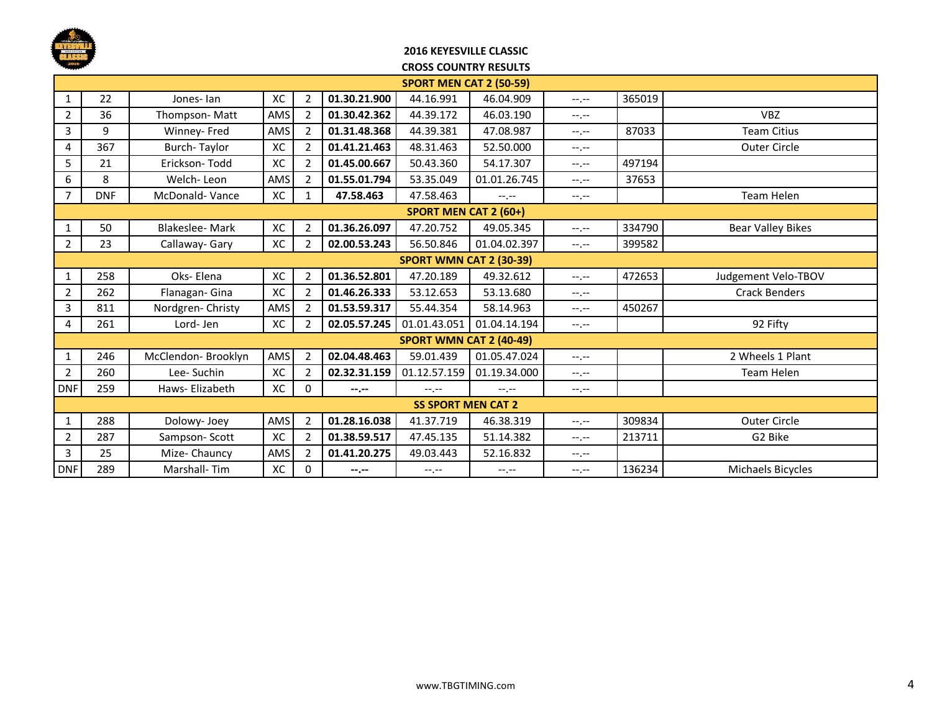

#### **2016 KEYESVILLE CLASSIC CROSS COUNTRY RESULTS**

|                | <b>SPORT MEN CAT 2 (50-59)</b> |                       |     |                |                  |                                |                  |                  |        |                      |  |  |
|----------------|--------------------------------|-----------------------|-----|----------------|------------------|--------------------------------|------------------|------------------|--------|----------------------|--|--|
| $\mathbf{1}$   | 22                             | Jones-lan             | XC  | 2              | 01.30.21.900     | 44.16.991                      | 46.04.909        | $-1 - 1 - 1 = 0$ | 365019 |                      |  |  |
| $\overline{2}$ | 36                             | Thompson-Matt         | AMS | 2              | 01.30.42.362     | 44.39.172                      | 46.03.190        | $-1, -1$         |        | <b>VBZ</b>           |  |  |
| 3              | 9                              | Winney- Fred          | AMS | 2              | 01.31.48.368     | 44.39.381                      | 47.08.987        | $-1$ , $-1$      | 87033  | <b>Team Citius</b>   |  |  |
| 4              | 367                            | <b>Burch-Taylor</b>   | XC  | 2              | 01.41.21.463     | 48.31.463                      | 52.50.000        | $-1, -1$         |        | <b>Outer Circle</b>  |  |  |
| 5              | 21                             | Erickson-Todd         | XC  | $\overline{2}$ | 01.45.00.667     | 50.43.360                      | 54.17.307        | $-1$ , $-1$      | 497194 |                      |  |  |
| 6              | 8                              | Welch-Leon            | AMS | $\overline{2}$ | 01.55.01.794     | 53.35.049                      | 01.01.26.745     | $-1$ , $-1$      | 37653  |                      |  |  |
| $\overline{7}$ | <b>DNF</b>                     | McDonald-Vance        | XC  | 1              | 47.58.463        | 47.58.463                      | $-1. - -$        | $-1, -1$         |        | Team Helen           |  |  |
|                | <b>SPORT MEN CAT 2 (60+)</b>   |                       |     |                |                  |                                |                  |                  |        |                      |  |  |
| 1              | 50                             | <b>Blakeslee-Mark</b> | XC  | $\overline{2}$ | 01.36.26.097     | 47.20.752                      | 49.05.345        | $-1$ , $-1$      | 334790 | Bear Valley Bikes    |  |  |
| $2^{\circ}$    | 23                             | Callaway- Gary        | XC  | 2              | 02.00.53.243     | 56.50.846                      | 01.04.02.397     | $-1, -1$         | 399582 |                      |  |  |
|                | <b>SPORT WMN CAT 2 (30-39)</b> |                       |     |                |                  |                                |                  |                  |        |                      |  |  |
| $\mathbf{1}$   | 258                            | Oks-Elena             | XC  | 2              | 01.36.52.801     | 47.20.189                      | 49.32.612        | $-1$ , $-1$      | 472653 | Judgement Velo-TBOV  |  |  |
| $\overline{2}$ | 262                            | Flanagan- Gina        | XC  | 2              | 01.46.26.333     | 53.12.653                      | 53.13.680        | --.--            |        | <b>Crack Benders</b> |  |  |
| 3              | 811                            | Nordgren-Christy      | AMS | 2              | 01.53.59.317     | 55.44.354                      | 58.14.963        | $-1, -1$         | 450267 |                      |  |  |
| 4              | 261                            | Lord-Jen              | XC  | 2              | 02.05.57.245     | 01.01.43.051                   | 01.04.14.194     | $-1$ , $-1$      |        | 92 Fifty             |  |  |
|                |                                |                       |     |                |                  | <b>SPORT WMN CAT 2 (40-49)</b> |                  |                  |        |                      |  |  |
| 1              | 246                            | McClendon- Brooklyn   | AMS | 2              | 02.04.48.463     | 59.01.439                      | 01.05.47.024     | $-1, -1$         |        | 2 Wheels 1 Plant     |  |  |
| $\overline{2}$ | 260                            | Lee-Suchin            | XC  | $\overline{2}$ | 02.32.31.159     | 01.12.57.159                   | 01.19.34.000     | $-1$ , $-1$      |        | Team Helen           |  |  |
| <b>DNF</b>     | 259                            | Haws-Elizabeth        | XC  | $\Omega$       | --.--            | $-1 - 1 - 1 = 0$               | $-1 - 1 - 1 = 0$ | $-1, -1$         |        |                      |  |  |
|                |                                |                       |     |                |                  | <b>SS SPORT MEN CAT 2</b>      |                  |                  |        |                      |  |  |
| 1              | 288                            | Dolowy- Joey          | AMS | $\overline{2}$ | 01.28.16.038     | 41.37.719                      | 46.38.319        | $-1, -1$         | 309834 | <b>Outer Circle</b>  |  |  |
| $\overline{2}$ | 287                            | Sampson-Scott         | XC  | $\overline{2}$ | 01.38.59.517     | 47.45.135                      | 51.14.382        | $-1$ , $-1$      | 213711 | G2 Bike              |  |  |
| $\overline{3}$ | 25                             | Mize- Chauncy         | AMS | 2              | 01.41.20.275     | 49.03.443                      | 52.16.832        | $-1$ , $-1$      |        |                      |  |  |
| <b>DNF</b>     | 289                            | Marshall-Tim          | XC  | 0              | $-2 - 1 - 1 = 0$ | $-1$ , $-1$                    | $-1, -1$         | $-1 - 1 - 1 = 0$ | 136234 | Michaels Bicycles    |  |  |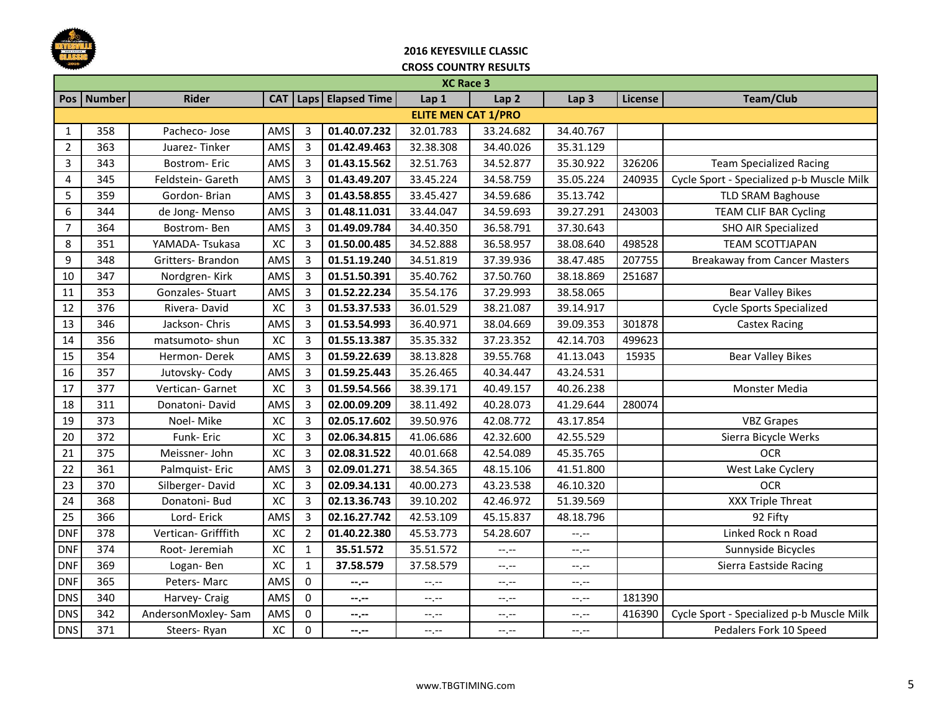

# **2016 KEYESVILLE CLASSIC**

|                | <b>XC Race 3</b> |                     |            |                |                     |                            |                  |                  |         |                                           |  |
|----------------|------------------|---------------------|------------|----------------|---------------------|----------------------------|------------------|------------------|---------|-------------------------------------------|--|
|                | Pos   Number     | <b>Rider</b>        | <b>CAT</b> |                | Laps   Elapsed Time | Lap 1                      | Lap <sub>2</sub> | Lap <sub>3</sub> | License | <b>Team/Club</b>                          |  |
|                |                  |                     |            |                |                     | <b>ELITE MEN CAT 1/PRO</b> |                  |                  |         |                                           |  |
| 1              | 358              | Pacheco-Jose        | AMS        | 3              | 01.40.07.232        | 32.01.783                  | 33.24.682        | 34.40.767        |         |                                           |  |
| $\overline{2}$ | 363              | Juarez-Tinker       | AMS        | $\overline{3}$ | 01.42.49.463        | 32.38.308                  | 34.40.026        | 35.31.129        |         |                                           |  |
| 3              | 343              | Bostrom-Eric        | AMS        | 3              | 01.43.15.562        | 32.51.763                  | 34.52.877        | 35.30.922        | 326206  | <b>Team Specialized Racing</b>            |  |
| 4              | 345              | Feldstein- Gareth   | AMS        | 3              | 01.43.49.207        | 33.45.224                  | 34.58.759        | 35.05.224        | 240935  | Cycle Sport - Specialized p-b Muscle Milk |  |
| 5              | 359              | Gordon-Brian        | AMS        | $\overline{3}$ | 01.43.58.855        | 33.45.427                  | 34.59.686        | 35.13.742        |         | TLD SRAM Baghouse                         |  |
| 6              | 344              | de Jong-Menso       | AMS        | 3              | 01.48.11.031        | 33.44.047                  | 34.59.693        | 39.27.291        | 243003  | TEAM CLIF BAR Cycling                     |  |
| $\overline{7}$ | 364              | Bostrom-Ben         | AMS        | 3              | 01.49.09.784        | 34.40.350                  | 36.58.791        | 37.30.643        |         | <b>SHO AIR Specialized</b>                |  |
| 8              | 351              | YAMADA-Tsukasa      | XC         | 3              | 01.50.00.485        | 34.52.888                  | 36.58.957        | 38.08.640        | 498528  | <b>TEAM SCOTTJAPAN</b>                    |  |
| 9              | 348              | Gritters- Brandon   | AMS        | $\overline{3}$ | 01.51.19.240        | 34.51.819                  | 37.39.936        | 38.47.485        | 207755  | <b>Breakaway from Cancer Masters</b>      |  |
| 10             | 347              | Nordgren-Kirk       | AMS        | 3              | 01.51.50.391        | 35.40.762                  | 37.50.760        | 38.18.869        | 251687  |                                           |  |
| 11             | 353              | Gonzales-Stuart     | AMS        | 3              | 01.52.22.234        | 35.54.176                  | 37.29.993        | 38.58.065        |         | <b>Bear Valley Bikes</b>                  |  |
| 12             | 376              | Rivera-David        | XC         | $\overline{3}$ | 01.53.37.533        | 36.01.529                  | 38.21.087        | 39.14.917        |         | <b>Cycle Sports Specialized</b>           |  |
| 13             | 346              | Jackson-Chris       | AMS        | $\overline{3}$ | 01.53.54.993        | 36.40.971                  | 38.04.669        | 39.09.353        | 301878  | Castex Racing                             |  |
| 14             | 356              | matsumoto- shun     | XC         | 3              | 01.55.13.387        | 35.35.332                  | 37.23.352        | 42.14.703        | 499623  |                                           |  |
| 15             | 354              | Hermon-Derek        | AMS        | 3              | 01.59.22.639        | 38.13.828                  | 39.55.768        | 41.13.043        | 15935   | <b>Bear Valley Bikes</b>                  |  |
| 16             | 357              | Jutovsky- Cody      | AMS        | 3              | 01.59.25.443        | 35.26.465                  | 40.34.447        | 43.24.531        |         |                                           |  |
| 17             | 377              | Vertican- Garnet    | XC         | 3              | 01.59.54.566        | 38.39.171                  | 40.49.157        | 40.26.238        |         | Monster Media                             |  |
| 18             | 311              | Donatoni-David      | AMS        | 3              | 02.00.09.209        | 38.11.492                  | 40.28.073        | 41.29.644        | 280074  |                                           |  |
| 19             | 373              | Noel-Mike           | XC         | 3              | 02.05.17.602        | 39.50.976                  | 42.08.772        | 43.17.854        |         | <b>VBZ Grapes</b>                         |  |
| 20             | 372              | Funk-Eric           | XC         | 3              | 02.06.34.815        | 41.06.686                  | 42.32.600        | 42.55.529        |         | Sierra Bicycle Werks                      |  |
| 21             | 375              | Meissner-John       | XC         | $\overline{3}$ | 02.08.31.522        | 40.01.668                  | 42.54.089        | 45.35.765        |         | <b>OCR</b>                                |  |
| 22             | 361              | Palmquist-Eric      | AMS        | 3              | 02.09.01.271        | 38.54.365                  | 48.15.106        | 41.51.800        |         | West Lake Cyclery                         |  |
| 23             | 370              | Silberger-David     | XC         | 3              | 02.09.34.131        | 40.00.273                  | 43.23.538        | 46.10.320        |         | <b>OCR</b>                                |  |
| 24             | 368              | Donatoni- Bud       | XC         | $\overline{3}$ | 02.13.36.743        | 39.10.202                  | 42.46.972        | 51.39.569        |         | XXX Triple Threat                         |  |
| 25             | 366              | Lord-Erick          | AMS        | $\overline{3}$ | 02.16.27.742        | 42.53.109                  | 45.15.837        | 48.18.796        |         | 92 Fifty                                  |  |
| <b>DNF</b>     | 378              | Vertican- Grifffith | XC         | $\overline{2}$ | 01.40.22.380        | 45.53.773                  | 54.28.607        | $-1, -1$         |         | Linked Rock n Road                        |  |
| <b>DNF</b>     | 374              | Root-Jeremiah       | XC         | $\mathbf{1}$   | 35.51.572           | 35.51.572                  | $-1, -1$         | $-1, -1$         |         | Sunnyside Bicycles                        |  |
| <b>DNF</b>     | 369              | Logan-Ben           | XC         | $\mathbf{1}$   | 37.58.579           | 37.58.579                  | $-1, -1$         | --.--            |         | Sierra Eastside Racing                    |  |
| <b>DNF</b>     | 365              | Peters-Marc         | AMS        | $\mathbf 0$    | $-2.00$             | $-1, -1$                   | $-1, -1$         | $-1$ , $-1$      |         |                                           |  |
| <b>DNS</b>     | 340              | Harvey- Craig       | AMS        | $\Omega$       | --.--               | $-1, -1$                   | $-1, -1$         | $-$ , $-$        | 181390  |                                           |  |
| <b>DNS</b>     | 342              | AndersonMoxley-Sam  | AMS        | 0              | --.--               | --.--                      | --.--            | --.--            | 416390  | Cycle Sport - Specialized p-b Muscle Milk |  |
| <b>DNS</b>     | 371              | Steers-Ryan         | XC         | $\pmb{0}$      | $-2.00$             | $-1, -1$                   | $-1, -1$         | $-1, -1$         |         | Pedalers Fork 10 Speed                    |  |